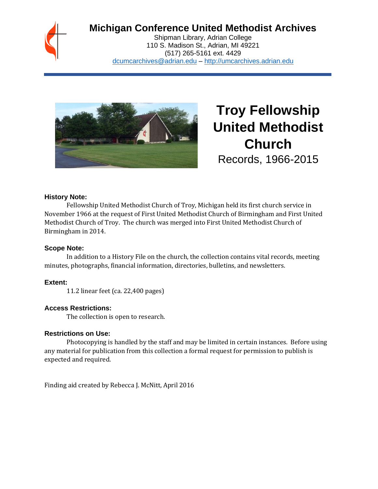

# **Michigan Conference United Methodist Archives**

Shipman Library, Adrian College 110 S. Madison St., Adrian, MI 49221 (517) 265-5161 ext. 4429 [dcumcarchives@adrian.edu](mailto:dcumcarchives@adrian.edu) – [http://umcarchives.adrian.edu](http://umcarchives.adrian.edu/)



**Troy Fellowship United Methodist Church** Records, 1966-2015

#### **History Note:**

Fellowship United Methodist Church of Troy, Michigan held its first church service in November 1966 at the request of First United Methodist Church of Birmingham and First United Methodist Church of Troy. The church was merged into First United Methodist Church of Birmingham in 2014.

#### **Scope Note:**

In addition to a History File on the church, the collection contains vital records, meeting minutes, photographs, financial information, directories, bulletins, and newsletters.

#### **Extent:**

11.2 linear feet (ca. 22,400 pages)

#### **Access Restrictions:**

The collection is open to research.

#### **Restrictions on Use:**

Photocopying is handled by the staff and may be limited in certain instances. Before using any material for publication from this collection a formal request for permission to publish is expected and required.

Finding aid created by Rebecca J. McNitt, April 2016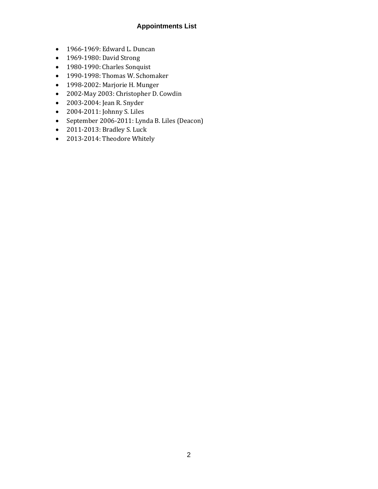### **Appointments List**

- 1966-1969: Edward L. Duncan
- 1969-1980: David Strong
- 1980-1990: Charles Sonquist
- 1990-1998: Thomas W. Schomaker
- 1998-2002: Marjorie H. Munger
- 2002-May 2003: Christopher D. Cowdin
- 2003-2004: Jean R. Snyder
- 2004-2011: Johnny S. Liles
- September 2006-2011: Lynda B. Liles (Deacon)
- 2011-2013: Bradley S. Luck
- 2013-2014: Theodore Whitely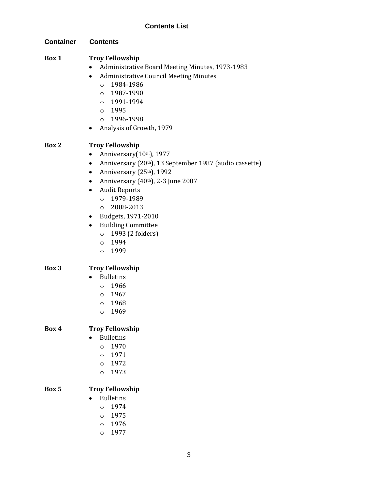**Container Contents**

### **Box 1 Troy Fellowship**

- Administrative Board Meeting Minutes, 1973-1983
- Administrative Council Meeting Minutes
	- o 1984-1986
	- o 1987-1990
	- o 1991-1994
	- o 1995
	- o 1996-1998
- Analysis of Growth, 1979

### **Box 2 Troy Fellowship**

- Anniversary $(10<sup>th</sup>)$ , 1977
- Anniversary (20<sup>th</sup>), 13 September 1987 (audio cassette)
- Anniversary  $(25<sup>th</sup>)$ , 1992
- Anniversary  $(40<sup>th</sup>)$ , 2-3 June 2007
- Audit Reports
	- o 1979-1989
	- $O$  2008-2013
- Budgets, 1971-2010
- Building Committee
	- o 1993 (2 folders)
	- o 1994
	- o 1999

#### **Box 3 Troy Fellowship**

- Bulletins
	- o 1966
	- o 1967
	- o 1968
	- o 1969

### **Box 4 Troy Fellowship**

- Bulletins
	- o 1970
	- o 1971
	- o 1972
	- o 1973

### **Box 5 Troy Fellowship**

- Bulletins
	- o 1974
	- o 1975
	- o 1976
	- o 1977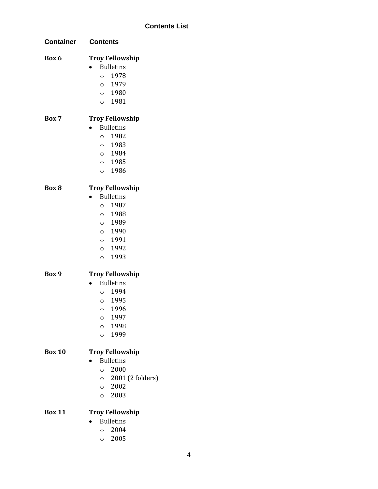| Container     | <b>Contents</b>                            |
|---------------|--------------------------------------------|
| Box 6         | <b>Troy Fellowship</b><br><b>Bulletins</b> |
|               | 0 1978                                     |
|               | 0 1979                                     |
|               | 0 1980                                     |
|               | 0 1981                                     |
| Box 7         | <b>Troy Fellowship</b>                     |
|               | <b>Bulletins</b>                           |
|               | 0 1982                                     |
|               | 0 1983                                     |
|               | 0 1984                                     |
|               | 0 1985                                     |
|               | 0 1986                                     |
| Box 8         | <b>Troy Fellowship</b>                     |
|               | <b>Bulletins</b>                           |
|               | 0 1987                                     |
|               | 0 1988                                     |
|               | 0 1989                                     |
|               | $\circ$ 1990                               |
|               | 0 1991                                     |
|               | 0 1992                                     |
|               | 1993<br>$\circ$                            |
| Box 9         | <b>Troy Fellowship</b>                     |
|               | <b>Bulletins</b>                           |
|               | 0 1994                                     |
|               | 0 1995                                     |
|               | 1996<br>$\circ$                            |
|               | 1997<br>O                                  |
|               | 1998<br>$\circ$                            |
|               | 1999<br>$\circ$                            |
| <b>Box 10</b> | <b>Troy Fellowship</b>                     |
|               | <b>Bulletins</b>                           |
|               | $\circ$ 2000                               |
|               | $\circ$ 2001 (2 folders)                   |
|               | $\circ$ 2002                               |
|               | $\circ$ 2003                               |
| <b>Box 11</b> | <b>Troy Fellowship</b>                     |

- Bulletins
	- o 2004
	- o 2005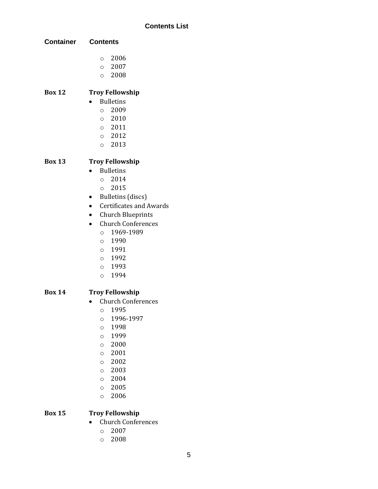| <b>Container</b> | <b>Contents</b>                |
|------------------|--------------------------------|
|                  | $\circ$ 2006                   |
|                  | $\circ$ 2007                   |
|                  | $\circ$ 2008                   |
| <b>Box 12</b>    | <b>Troy Fellowship</b>         |
|                  | <b>Bulletins</b>               |
|                  | $\circ$ 2009                   |
|                  | $\circ$ 2010                   |
|                  | 0 2011                         |
|                  | $\circ$ 2012                   |
|                  | 0 2013                         |
| <b>Box 13</b>    | <b>Troy Fellowship</b>         |
|                  | <b>Bulletins</b>               |
|                  | $\circ$ 2014                   |
|                  | 0 2015                         |
|                  | <b>Bulletins</b> (discs)       |
|                  | <b>Certificates and Awards</b> |
|                  | <b>Church Blueprints</b>       |
|                  | <b>Church Conferences</b>      |
|                  | 0 1969-1989                    |
|                  | 1990<br>$\circ$                |
|                  | 0 1991                         |
|                  | 0 1992                         |
|                  | 0 1993                         |
|                  | 0 1994                         |
| <b>Box 14</b>    | <b>Troy Fellowship</b>         |
|                  | <b>Church Conferences</b>      |
|                  | 1995<br>O                      |
|                  | 1996-1997<br>$\circ$           |
|                  | 1998<br>$\circ$                |
|                  | 1999<br>$\circ$                |
|                  | 2000<br>$\circ$                |
|                  | 2001<br>$\circ$                |

- o 2002
- o 2003
- o 2004
- o 2005
- o 2006

#### **Box 15 Troy Fellowship**

- Church Conferences
	- o 2007
	- o 2008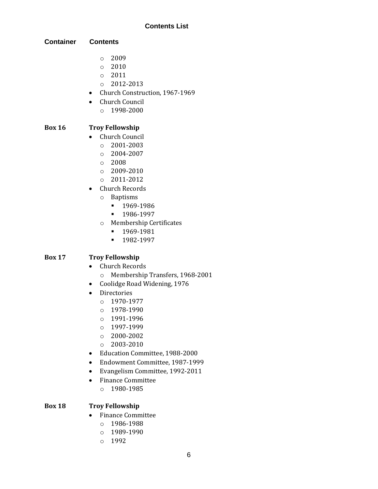**Container Contents**

- o 2009
- o 2010
- o 2011
- o 2012-2013
- Church Construction, 1967-1969
- Church Council
	- o 1998-2000

### **Box 16 Troy Fellowship**

- Church Council
	- $O = 2001 2003$
	- $O$  2004-2007
	- o 2008
	- $\circ$  2009-2010
	- o 2011-2012
- Church Records
	- o Baptisms
		- 1969-1986
		- 1986-1997
	- o Membership Certificates
		- 1969-1981
		- 1982-1997

### **Box 17 Troy Fellowship**

- Church Records
	- o Membership Transfers, 1968-2001
- Coolidge Road Widening, 1976
- Directories
	- o 1970-1977
	- $O$  1978-1990
	- o 1991-1996
	- o 1997-1999
	- o 2000-2002
	- o 2003-2010
- Education Committee, 1988-2000
- Endowment Committee, 1987-1999
- Evangelism Committee, 1992-2011
- Finance Committee
	- o 1980-1985

#### **Box 18 Troy Fellowship**

- Finance Committee
	- o 1986-1988
	- o 1989-1990
	- o 1992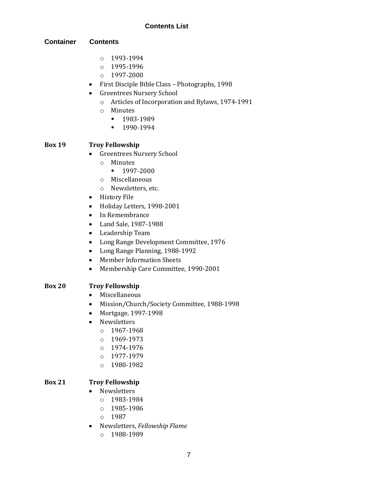#### **Container Contents**

- o 1993-1994
- o 1995-1996
- o 1997-2000
- First Disciple Bible Class Photographs, 1998
- Greentrees Nursery School
	- o Articles of Incorporation and Bylaws, 1974-1991
	- o Minutes
		- **■** 1983-1989
		- 1990-1994

#### **Box 19 Troy Fellowship**

- Greentrees Nursery School
	- o Minutes
		- 1997-2000
	- o Miscellaneous
	- o Newsletters, etc.
- History File
- Holiday Letters, 1998-2001
- In Remembrance
- Land Sale, 1987-1988
- Leadership Team
- Long Range Development Committee, 1976
- Long Range Planning, 1988-1992
- Member Information Sheets
- Membership Care Committee, 1990-2001

### **Box 20 Troy Fellowship**

- Miscellaneous
- Mission/Church/Society Committee, 1988-1998
- Mortgage, 1997-1998
- Newsletters
	- o 1967-1968
	- o 1969-1973
	- o 1974-1976
	- o 1977-1979
	- o 1980-1982

### **Box 21 Troy Fellowship**

- Newsletters
	- o 1983-1984
	- o 1985-1986
	- o 1987
- Newsletters, *Fellowship Flame*
	- o 1988-1989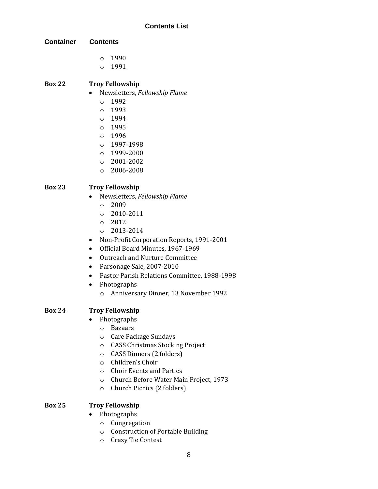- **Container Contents**
	- o 1990
	- o 1991

# **Box 22 Troy Fellowship**

- Newsletters, *Fellowship Flame*
	- o 1992
	- o 1993
	- o 1994
	- o 1995
	- $0.1996$
	- o 1997-1998
	- o 1999-2000
	- o 2001-2002
	- o 2006-2008

### **Box 23 Troy Fellowship**

- Newsletters, *Fellowship Flame*
	- o 2009
	- $O$  2010-2011
	- o 2012
	- o 2013-2014
- Non-Profit Corporation Reports, 1991-2001
- Official Board Minutes, 1967-1969
- Outreach and Nurture Committee
- Parsonage Sale, 2007-2010
- Pastor Parish Relations Committee, 1988-1998
- Photographs
	- o Anniversary Dinner, 13 November 1992

# **Box 24 Troy Fellowship**

- Photographs
	- o Bazaars
	- o Care Package Sundays
	- o CASS Christmas Stocking Project
	- o CASS Dinners (2 folders)
	- o Children's Choir
	- o Choir Events and Parties
	- o Church Before Water Main Project, 1973
	- o Church Picnics (2 folders)

### **Box 25 Troy Fellowship**

- Photographs
	- o Congregation
	- o Construction of Portable Building
	- o Crazy Tie Contest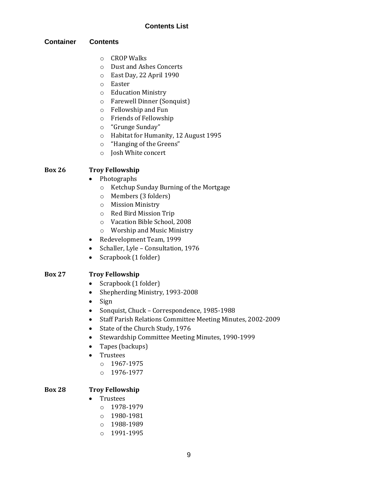#### **Container Contents**

- o CROP Walks
- o Dust and Ashes Concerts
- o East Day, 22 April 1990
- o Easter
- o Education Ministry
- o Farewell Dinner (Sonquist)
- o Fellowship and Fun
- o Friends of Fellowship
- o "Grunge Sunday"
- o Habitat for Humanity, 12 August 1995
- o "Hanging of the Greens"
- o Josh White concert

### **Box 26 Troy Fellowship**

- Photographs
	- o Ketchup Sunday Burning of the Mortgage
	- o Members (3 folders)
	- o Mission Ministry
	- o Red Bird Mission Trip
	- o Vacation Bible School, 2008
	- o Worship and Music Ministry
- Redevelopment Team, 1999
- Schaller, Lyle Consultation, 1976
- Scrapbook (1 folder)

### **Box 27 Troy Fellowship**

- Scrapbook (1 folder)
- Shepherding Ministry, 1993-2008
- Sign
- Sonquist, Chuck Correspondence, 1985-1988
- Staff Parish Relations Committee Meeting Minutes, 2002-2009
- State of the Church Study, 1976
- Stewardship Committee Meeting Minutes, 1990-1999
- Tapes (backups)
- Trustees
	- o 1967-1975
	- o 1976-1977

#### **Box 28 Troy Fellowship**

- Trustees
	- o 1978-1979
	- o 1980-1981
	- o 1988-1989
	- o 1991-1995